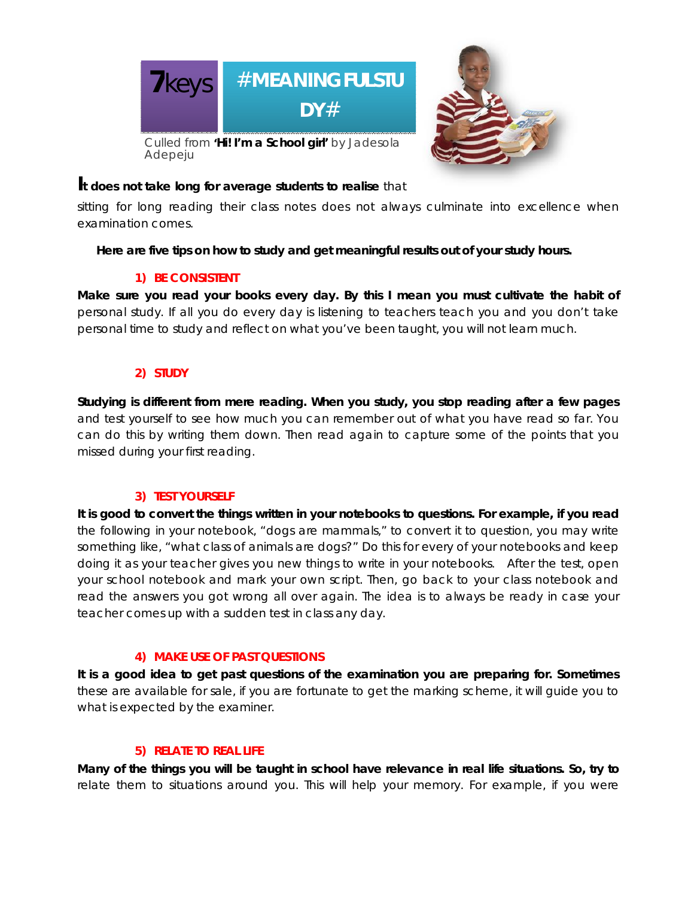



# **It does not take long for average students to realise** that

sitting for long reading their class notes does not always culminate into excellence when examination comes.

**Here are five tips on how to study and get meaningful results out of your study hours.**

### **1) BE CONSISTENT**

**Make sure you read your books every day. By this I mean you must cultivate the habit of** personal study. If all you do every day is listening to teachers teach you and you don't take personal time to study and reflect on what you've been taught, you will not learn much.

## **2) STUDY**

**Studying is different from mere reading. When you study, you stop reading after a few pages** and test yourself to see how much you can remember out of what you have read so far. You can do this by writing them down. Then read again to capture some of the points that you missed during your first reading.

### **3) TEST YOURSELF**

**It is good to convert the things written in your notebooks to questions. For example, if you read** the following in your notebook, "dogs are mammals," to convert it to question, you may write something like, "what class of animals are dogs?" Do this for every of your notebooks and keep doing it as your teacher gives you new things to write in your notebooks. After the test, open your school notebook and mark your own script. Then, go back to your class notebook and read the answers you got wrong all over again. The idea is to always be ready in case your teacher comes up with a sudden test in class any day.

### **4) MAKE USE OF PAST QUESTIONS**

**It is a good idea to get past questions of the examination you are preparing for. Sometimes** these are available for sale, if you are fortunate to get the marking scheme, it will guide you to what is expected by the examiner.

### **5) RELATE TO REAL LIFE**

**Many of the things you will be taught in school have relevance in real life situations. So, try to** relate them to situations around you. This will help your memory. For example, if you were